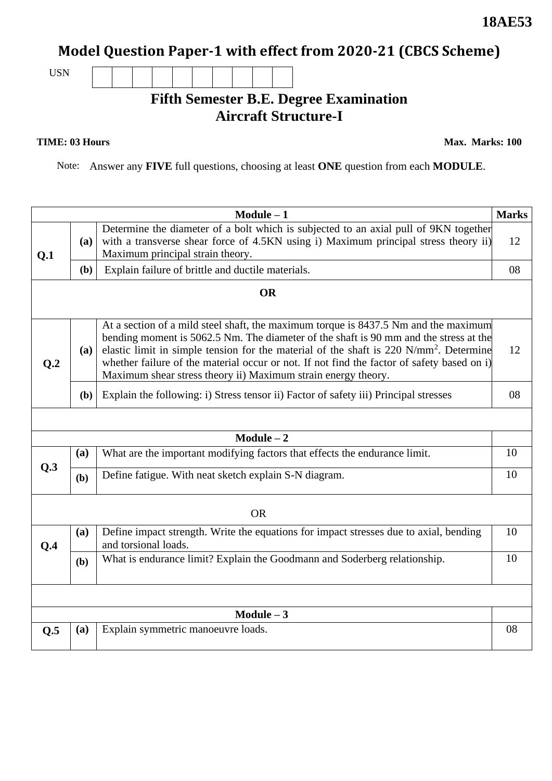# **Model Question Paper-1 with effect from 2020-21 (CBCS Scheme)**

USN

### **Fifth Semester B.E. Degree Examination Aircraft Structure-I**

#### **TIME: 03 Hours**

**Max. Marks: 100**

Note: Answer any **FIVE** full questions, choosing at least **ONE** question from each **MODULE**.

|                  |              | $Module - 1$                                                                                                                                                                                                                                                                                                                                                                                                                                      | <b>Marks</b> |  |  |  |
|------------------|--------------|---------------------------------------------------------------------------------------------------------------------------------------------------------------------------------------------------------------------------------------------------------------------------------------------------------------------------------------------------------------------------------------------------------------------------------------------------|--------------|--|--|--|
| Q.1              | (a)          | Determine the diameter of a bolt which is subjected to an axial pull of 9KN together<br>with a transverse shear force of 4.5KN using i) Maximum principal stress theory ii)<br>Maximum principal strain theory.                                                                                                                                                                                                                                   | 12           |  |  |  |
|                  | (b)          | Explain failure of brittle and ductile materials.                                                                                                                                                                                                                                                                                                                                                                                                 | 08           |  |  |  |
|                  | <b>OR</b>    |                                                                                                                                                                                                                                                                                                                                                                                                                                                   |              |  |  |  |
| Q <sub>0.2</sub> | <b>(a)</b>   | At a section of a mild steel shaft, the maximum torque is 8437.5 Nm and the maximum<br>bending moment is 5062.5 Nm. The diameter of the shaft is 90 mm and the stress at the<br>elastic limit in simple tension for the material of the shaft is 220 N/mm <sup>2</sup> . Determine<br>whether failure of the material occur or not. If not find the factor of safety based on i)<br>Maximum shear stress theory ii) Maximum strain energy theory. | 12           |  |  |  |
|                  | (b)          | Explain the following: i) Stress tensor ii) Factor of safety iii) Principal stresses                                                                                                                                                                                                                                                                                                                                                              | 08           |  |  |  |
|                  |              |                                                                                                                                                                                                                                                                                                                                                                                                                                                   |              |  |  |  |
|                  |              | $Module - 2$                                                                                                                                                                                                                                                                                                                                                                                                                                      |              |  |  |  |
|                  | (a)          | What are the important modifying factors that effects the endurance limit.                                                                                                                                                                                                                                                                                                                                                                        | 10           |  |  |  |
| Q.3              | (b)          | Define fatigue. With neat sketch explain S-N diagram.                                                                                                                                                                                                                                                                                                                                                                                             | 10           |  |  |  |
|                  | <b>OR</b>    |                                                                                                                                                                                                                                                                                                                                                                                                                                                   |              |  |  |  |
| Q.4              | (a)          | Define impact strength. Write the equations for impact stresses due to axial, bending<br>and torsional loads.                                                                                                                                                                                                                                                                                                                                     |              |  |  |  |
|                  | (b)          | What is endurance limit? Explain the Goodmann and Soderberg relationship.                                                                                                                                                                                                                                                                                                                                                                         | 10           |  |  |  |
|                  |              |                                                                                                                                                                                                                                                                                                                                                                                                                                                   |              |  |  |  |
|                  | $Module - 3$ |                                                                                                                                                                                                                                                                                                                                                                                                                                                   |              |  |  |  |
| Q.5              | (a)          | Explain symmetric manoeuvre loads.                                                                                                                                                                                                                                                                                                                                                                                                                | 08           |  |  |  |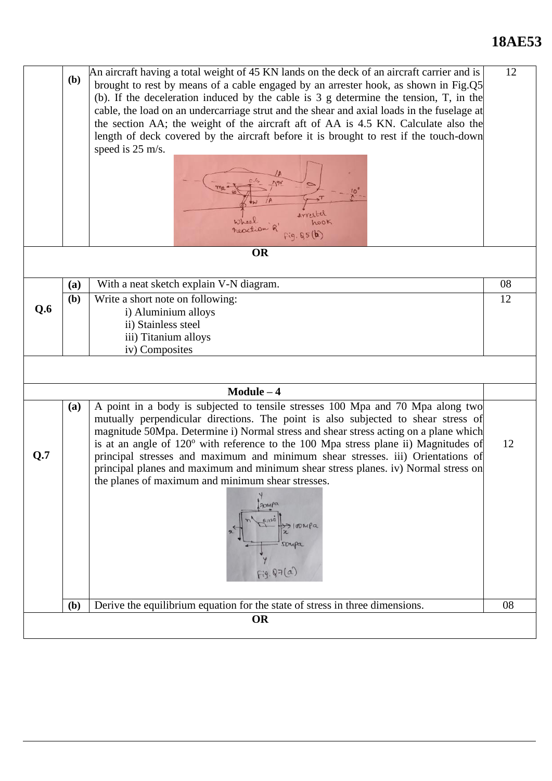# **18AE53**

|     | (b)            | An aircraft having a total weight of 45 KN lands on the deck of an aircraft carrier and is<br>brought to rest by means of a cable engaged by an arrester hook, as shown in Fig.Q5<br>(b). If the deceleration induced by the cable is $3 \text{ g}$ determine the tension, T, in the<br>cable, the load on an undercarriage strut and the shear and axial loads in the fuselage at<br>the section AA; the weight of the aircraft aft of AA is 4.5 KN. Calculate also the<br>length of deck covered by the aircraft before it is brought to rest if the touch-down<br>speed is 25 m/s.<br>hook<br>neaction<br>fig.85(b) |    |  |  |  |  |
|-----|----------------|------------------------------------------------------------------------------------------------------------------------------------------------------------------------------------------------------------------------------------------------------------------------------------------------------------------------------------------------------------------------------------------------------------------------------------------------------------------------------------------------------------------------------------------------------------------------------------------------------------------------|----|--|--|--|--|
|     |                | <b>OR</b>                                                                                                                                                                                                                                                                                                                                                                                                                                                                                                                                                                                                              |    |  |  |  |  |
|     | (a)            | With a neat sketch explain V-N diagram.                                                                                                                                                                                                                                                                                                                                                                                                                                                                                                                                                                                | 08 |  |  |  |  |
|     | (b)            | Write a short note on following:                                                                                                                                                                                                                                                                                                                                                                                                                                                                                                                                                                                       | 12 |  |  |  |  |
| Q.6 |                | i) Aluminium alloys                                                                                                                                                                                                                                                                                                                                                                                                                                                                                                                                                                                                    |    |  |  |  |  |
|     |                | ii) Stainless steel<br>iii) Titanium alloys                                                                                                                                                                                                                                                                                                                                                                                                                                                                                                                                                                            |    |  |  |  |  |
|     | iv) Composites |                                                                                                                                                                                                                                                                                                                                                                                                                                                                                                                                                                                                                        |    |  |  |  |  |
|     |                |                                                                                                                                                                                                                                                                                                                                                                                                                                                                                                                                                                                                                        |    |  |  |  |  |
|     |                | $Module - 4$                                                                                                                                                                                                                                                                                                                                                                                                                                                                                                                                                                                                           |    |  |  |  |  |
| Q.7 | (a)            | A point in a body is subjected to tensile stresses 100 Mpa and 70 Mpa along two<br>mutually perpendicular directions. The point is also subjected to shear stress of<br>magnitude 50Mpa. Determine i) Normal stress and shear stress acting on a plane which<br>is at an angle of 120° with reference to the 100 Mpa stress plane ii) Magnitudes of<br>principal stresses and maximum and minimum shear stresses. iii) Orientations of<br>principal planes and maximum and minimum shear stress planes. iv) Normal stress on<br>the planes of maximum and minimum shear stresses.                                      | 12 |  |  |  |  |
|     |                | Fig. 87(a)                                                                                                                                                                                                                                                                                                                                                                                                                                                                                                                                                                                                             |    |  |  |  |  |
|     | (b)            | Derive the equilibrium equation for the state of stress in three dimensions.                                                                                                                                                                                                                                                                                                                                                                                                                                                                                                                                           | 08 |  |  |  |  |
|     |                | <b>OR</b>                                                                                                                                                                                                                                                                                                                                                                                                                                                                                                                                                                                                              |    |  |  |  |  |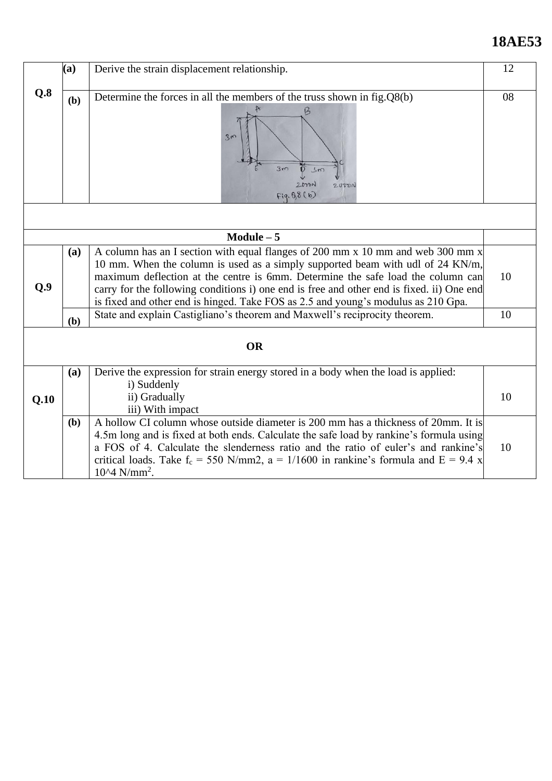# **18AE53**

|      | (a)<br>Derive the strain displacement relationship.                                                                                |                                                                                                                                                                                                                                                                                                                                                                                                                                        |    |  |  |  |  |
|------|------------------------------------------------------------------------------------------------------------------------------------|----------------------------------------------------------------------------------------------------------------------------------------------------------------------------------------------------------------------------------------------------------------------------------------------------------------------------------------------------------------------------------------------------------------------------------------|----|--|--|--|--|
|      |                                                                                                                                    |                                                                                                                                                                                                                                                                                                                                                                                                                                        |    |  |  |  |  |
| Q.8  | Determine the forces in all the members of the truss shown in $fig.Q8(b)$<br>(b)<br>3m<br>3m<br>3m<br>20,00<br>20000<br>Fig. 88(b) |                                                                                                                                                                                                                                                                                                                                                                                                                                        |    |  |  |  |  |
|      |                                                                                                                                    |                                                                                                                                                                                                                                                                                                                                                                                                                                        |    |  |  |  |  |
|      |                                                                                                                                    | $Module - 5$                                                                                                                                                                                                                                                                                                                                                                                                                           |    |  |  |  |  |
| Q.9  | (a)                                                                                                                                | A column has an I section with equal flanges of 200 mm x 10 mm and web 300 mm x<br>10 mm. When the column is used as a simply supported beam with udl of 24 KN/m,<br>maximum deflection at the centre is 6mm. Determine the safe load the column can<br>carry for the following conditions i) one end is free and other end is fixed. ii) One end<br>is fixed and other end is hinged. Take FOS as 2.5 and young's modulus as 210 Gpa. | 10 |  |  |  |  |
|      | (b)                                                                                                                                | State and explain Castigliano's theorem and Maxwell's reciprocity theorem.                                                                                                                                                                                                                                                                                                                                                             | 10 |  |  |  |  |
|      | <b>OR</b>                                                                                                                          |                                                                                                                                                                                                                                                                                                                                                                                                                                        |    |  |  |  |  |
| Q.10 | (a)                                                                                                                                | Derive the expression for strain energy stored in a body when the load is applied:<br>i) Suddenly<br>ii) Gradually<br>iii) With impact                                                                                                                                                                                                                                                                                                 | 10 |  |  |  |  |
|      | (b)                                                                                                                                | A hollow CI column whose outside diameter is 200 mm has a thickness of 20mm. It is<br>4.5m long and is fixed at both ends. Calculate the safe load by rankine's formula using<br>a FOS of 4. Calculate the slenderness ratio and the ratio of euler's and rankine's<br>critical loads. Take $f_c = 550$ N/mm2, $a = 1/1600$ in rankine's formula and $E = 9.4$ x<br>$10^{4}$ N/mm <sup>2</sup> .                                       | 10 |  |  |  |  |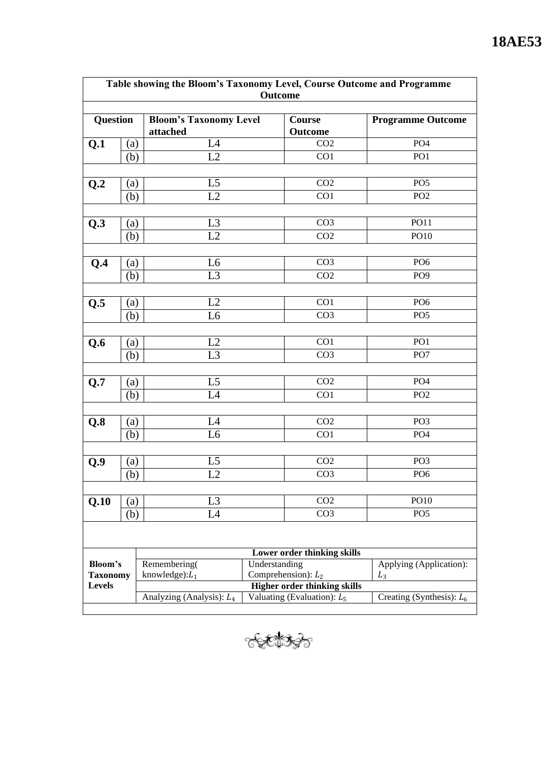| Table showing the Bloom's Taxonomy Level, Course Outcome and Programme<br><b>Outcome</b> |                   |                                           |                                                                      |                       |                             |  |  |  |
|------------------------------------------------------------------------------------------|-------------------|-------------------------------------------|----------------------------------------------------------------------|-----------------------|-----------------------------|--|--|--|
| <b>Question</b>                                                                          |                   | <b>Bloom's Taxonomy Level</b><br>attached | Course<br><b>Outcome</b>                                             |                       | <b>Programme Outcome</b>    |  |  |  |
| Q.1                                                                                      | (a)               | L4                                        |                                                                      | CO <sub>2</sub>       | PO <sub>4</sub>             |  |  |  |
|                                                                                          | (b)               | L2                                        |                                                                      | CO1                   | PO <sub>1</sub>             |  |  |  |
|                                                                                          |                   |                                           |                                                                      |                       |                             |  |  |  |
| Q.2                                                                                      | $\left( a\right)$ | L <sub>5</sub>                            |                                                                      | CO <sub>2</sub>       | PO <sub>5</sub>             |  |  |  |
|                                                                                          | (b)               | L2                                        |                                                                      | CO1                   | PO <sub>2</sub>             |  |  |  |
|                                                                                          |                   |                                           |                                                                      |                       |                             |  |  |  |
|                                                                                          |                   | L3                                        |                                                                      | CO <sub>3</sub>       | <b>PO11</b>                 |  |  |  |
| Q.3                                                                                      | (a)               | L2                                        |                                                                      | CO <sub>2</sub>       | <b>PO10</b>                 |  |  |  |
|                                                                                          | (b)               |                                           |                                                                      |                       |                             |  |  |  |
|                                                                                          |                   |                                           |                                                                      | CO <sub>3</sub>       | PO <sub>6</sub>             |  |  |  |
| Q.4                                                                                      | (a)               | L <sub>6</sub>                            |                                                                      |                       |                             |  |  |  |
|                                                                                          | (b)               | L <sub>3</sub>                            |                                                                      | CO <sub>2</sub>       | PO <sub>9</sub>             |  |  |  |
|                                                                                          |                   |                                           |                                                                      |                       |                             |  |  |  |
| Q.5                                                                                      | (a)               | L2                                        |                                                                      | CO1                   | PO <sub>6</sub>             |  |  |  |
|                                                                                          | (b)               | L <sub>6</sub>                            |                                                                      | CO <sub>3</sub>       | PO <sub>5</sub>             |  |  |  |
|                                                                                          |                   |                                           |                                                                      |                       |                             |  |  |  |
| Q.6                                                                                      | (a)               | L2                                        |                                                                      | CO1                   | PO <sub>1</sub>             |  |  |  |
|                                                                                          | (b)               | L <sub>3</sub>                            |                                                                      | CO <sub>3</sub>       | PO <sub>7</sub>             |  |  |  |
|                                                                                          |                   |                                           |                                                                      |                       |                             |  |  |  |
| Q.7                                                                                      | (a)               | L5                                        |                                                                      | CO <sub>2</sub>       | PO <sub>4</sub>             |  |  |  |
|                                                                                          | (b)               | L4                                        |                                                                      | CO1                   | PO <sub>2</sub>             |  |  |  |
|                                                                                          |                   |                                           |                                                                      |                       |                             |  |  |  |
| Q.8                                                                                      | (a)               | L4                                        |                                                                      | CO <sub>2</sub>       | PO <sub>3</sub>             |  |  |  |
|                                                                                          | (b)               | L <sub>6</sub>                            |                                                                      | CO1                   | PO <sub>4</sub>             |  |  |  |
|                                                                                          |                   |                                           |                                                                      |                       |                             |  |  |  |
| Q.9                                                                                      | (a)               | L <sub>5</sub>                            |                                                                      | CO <sub>2</sub>       | PO <sub>3</sub>             |  |  |  |
|                                                                                          | (b)               | L2                                        |                                                                      | CO <sub>3</sub>       | PO <sub>6</sub>             |  |  |  |
|                                                                                          |                   |                                           |                                                                      |                       |                             |  |  |  |
| Q.10                                                                                     | (a)               | L3                                        |                                                                      | CO <sub>2</sub>       | PO10                        |  |  |  |
|                                                                                          | (b)               | L4                                        |                                                                      | CO <sub>3</sub>       | PO <sub>5</sub>             |  |  |  |
|                                                                                          |                   |                                           |                                                                      |                       |                             |  |  |  |
|                                                                                          |                   |                                           |                                                                      |                       |                             |  |  |  |
| Lower order thinking skills                                                              |                   |                                           |                                                                      |                       |                             |  |  |  |
| Bloom's                                                                                  |                   | Remembering(                              | Understanding                                                        |                       | Applying (Application):     |  |  |  |
| <b>Taxonomy</b><br><b>Levels</b>                                                         |                   | knowledge): $L_1$                         |                                                                      | Comprehension): $L_2$ | $L_3$                       |  |  |  |
|                                                                                          |                   | Analyzing (Analysis): L <sub>4</sub>      | <b>Higher order thinking skills</b><br>Valuating (Evaluation): $L_5$ |                       | Creating (Synthesis): $L_6$ |  |  |  |
|                                                                                          |                   |                                           |                                                                      |                       |                             |  |  |  |

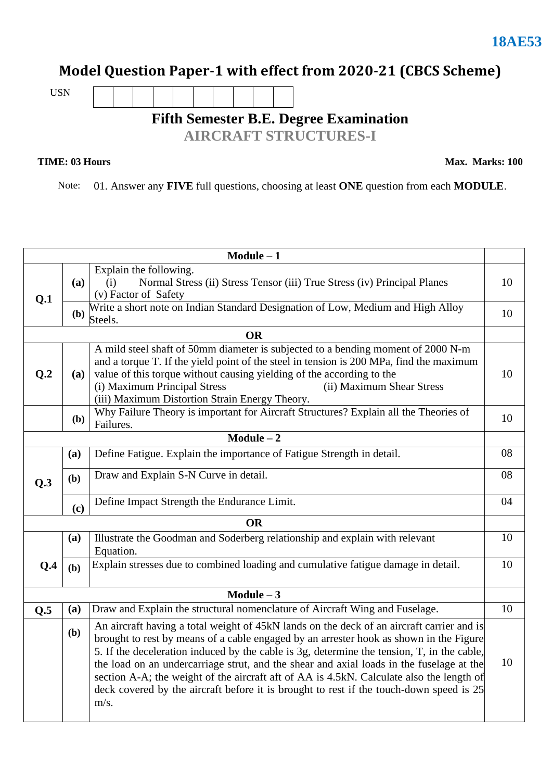## **Model Question Paper-1 with effect from 2020-21 (CBCS Scheme)**

USN

# **Fifth Semester B.E. Degree Examination**

**AIRCRAFT STRUCTURES-I**

### **TIME: 03 Hours**

**Max. Marks: 100**

Note: 01. Answer any **FIVE** full questions, choosing at least **ONE** question from each **MODULE**.

| $Module - 1$ |              |                                                                                                                                                                                                                                                                                                                                                                                                                                                                                                                                                                              |    |  |  |  |  |
|--------------|--------------|------------------------------------------------------------------------------------------------------------------------------------------------------------------------------------------------------------------------------------------------------------------------------------------------------------------------------------------------------------------------------------------------------------------------------------------------------------------------------------------------------------------------------------------------------------------------------|----|--|--|--|--|
| Q.1          | <b>(a)</b>   | Explain the following.<br>Normal Stress (ii) Stress Tensor (iii) True Stress (iv) Principal Planes<br>(i)<br>(v) Factor of Safety                                                                                                                                                                                                                                                                                                                                                                                                                                            | 10 |  |  |  |  |
|              | (b)          | Write a short note on Indian Standard Designation of Low, Medium and High Alloy<br>Steels.                                                                                                                                                                                                                                                                                                                                                                                                                                                                                   |    |  |  |  |  |
|              |              | <b>OR</b>                                                                                                                                                                                                                                                                                                                                                                                                                                                                                                                                                                    |    |  |  |  |  |
| Q.2          | <b>(a)</b>   | A mild steel shaft of 50mm diameter is subjected to a bending moment of 2000 N-m<br>and a torque T. If the yield point of the steel in tension is 200 MPa, find the maximum<br>value of this torque without causing yielding of the according to the<br>(i) Maximum Principal Stress<br>(ii) Maximum Shear Stress<br>(iii) Maximum Distortion Strain Energy Theory.                                                                                                                                                                                                          | 10 |  |  |  |  |
|              | ( <b>b</b> ) | Why Failure Theory is important for Aircraft Structures? Explain all the Theories of<br>Failures.                                                                                                                                                                                                                                                                                                                                                                                                                                                                            | 10 |  |  |  |  |
|              |              | $\overline{\text{Module} - 2}$                                                                                                                                                                                                                                                                                                                                                                                                                                                                                                                                               |    |  |  |  |  |
|              | (a)          | Define Fatigue. Explain the importance of Fatigue Strength in detail.                                                                                                                                                                                                                                                                                                                                                                                                                                                                                                        | 08 |  |  |  |  |
| Q.3          | (b)          | Draw and Explain S-N Curve in detail.                                                                                                                                                                                                                                                                                                                                                                                                                                                                                                                                        |    |  |  |  |  |
|              | (c)          | Define Impact Strength the Endurance Limit.                                                                                                                                                                                                                                                                                                                                                                                                                                                                                                                                  | 04 |  |  |  |  |
|              |              | <b>OR</b>                                                                                                                                                                                                                                                                                                                                                                                                                                                                                                                                                                    |    |  |  |  |  |
|              | (a)          | Illustrate the Goodman and Soderberg relationship and explain with relevant<br>Equation.                                                                                                                                                                                                                                                                                                                                                                                                                                                                                     | 10 |  |  |  |  |
| Q.4          | (b)          | Explain stresses due to combined loading and cumulative fatigue damage in detail.                                                                                                                                                                                                                                                                                                                                                                                                                                                                                            | 10 |  |  |  |  |
|              |              | $Module - 3$                                                                                                                                                                                                                                                                                                                                                                                                                                                                                                                                                                 |    |  |  |  |  |
| Q.5          | (a)          | Draw and Explain the structural nomenclature of Aircraft Wing and Fuselage.                                                                                                                                                                                                                                                                                                                                                                                                                                                                                                  | 10 |  |  |  |  |
|              | (b)          | An aircraft having a total weight of 45kN lands on the deck of an aircraft carrier and is<br>brought to rest by means of a cable engaged by an arrester hook as shown in the Figure<br>5. If the deceleration induced by the cable is 3g, determine the tension, T, in the cable,<br>the load on an undercarriage strut, and the shear and axial loads in the fuselage at the<br>section A-A; the weight of the aircraft aft of AA is 4.5kN. Calculate also the length of<br>deck covered by the aircraft before it is brought to rest if the touch-down speed is 25<br>m/s. | 10 |  |  |  |  |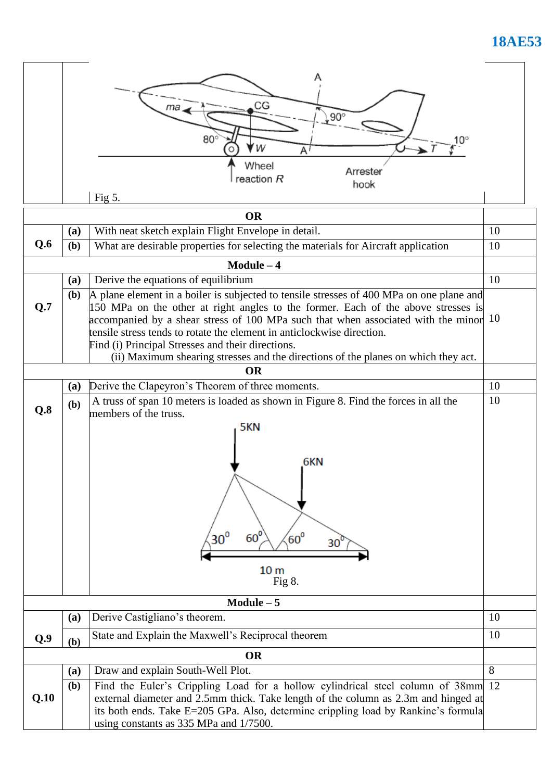# **18AE53**

|              |                                                                                                                                                                                                                                                                                                                                                                                                                       | CG<br>$90^\circ$<br>$80^\circ$<br>$10^{\circ}$<br>W<br>A١                                                                                                                                                                                                                                           |    |  |  |  |
|--------------|-----------------------------------------------------------------------------------------------------------------------------------------------------------------------------------------------------------------------------------------------------------------------------------------------------------------------------------------------------------------------------------------------------------------------|-----------------------------------------------------------------------------------------------------------------------------------------------------------------------------------------------------------------------------------------------------------------------------------------------------|----|--|--|--|
|              |                                                                                                                                                                                                                                                                                                                                                                                                                       | Wheel<br>Arrester<br>reaction R<br>hook                                                                                                                                                                                                                                                             |    |  |  |  |
|              |                                                                                                                                                                                                                                                                                                                                                                                                                       | Fig $5$ .                                                                                                                                                                                                                                                                                           |    |  |  |  |
|              |                                                                                                                                                                                                                                                                                                                                                                                                                       | <b>OR</b>                                                                                                                                                                                                                                                                                           |    |  |  |  |
|              | (a)                                                                                                                                                                                                                                                                                                                                                                                                                   | With neat sketch explain Flight Envelope in detail.                                                                                                                                                                                                                                                 | 10 |  |  |  |
| Q.6          | (b)                                                                                                                                                                                                                                                                                                                                                                                                                   | What are desirable properties for selecting the materials for Aircraft application                                                                                                                                                                                                                  | 10 |  |  |  |
|              |                                                                                                                                                                                                                                                                                                                                                                                                                       | $Module - 4$                                                                                                                                                                                                                                                                                        |    |  |  |  |
|              | (a)                                                                                                                                                                                                                                                                                                                                                                                                                   | Derive the equations of equilibrium                                                                                                                                                                                                                                                                 | 10 |  |  |  |
| Q.7          | A plane element in a boiler is subjected to tensile stresses of 400 MPa on one plane and<br><b>(b)</b><br>150 MPa on the other at right angles to the former. Each of the above stresses is<br>10<br>accompanied by a shear stress of 100 MPa such that when associated with the minor<br>tensile stress tends to rotate the element in anticlockwise direction.<br>Find (i) Principal Stresses and their directions. |                                                                                                                                                                                                                                                                                                     |    |  |  |  |
|              |                                                                                                                                                                                                                                                                                                                                                                                                                       | (ii) Maximum shearing stresses and the directions of the planes on which they act.<br><b>OR</b>                                                                                                                                                                                                     |    |  |  |  |
|              | (a)                                                                                                                                                                                                                                                                                                                                                                                                                   | Derive the Clapeyron's Theorem of three moments.                                                                                                                                                                                                                                                    | 10 |  |  |  |
| Q.8          | (b)                                                                                                                                                                                                                                                                                                                                                                                                                   | A truss of span 10 meters is loaded as shown in Figure 8. Find the forces in all the<br>members of the truss.                                                                                                                                                                                       | 10 |  |  |  |
|              |                                                                                                                                                                                                                                                                                                                                                                                                                       | 5KN<br>6KN<br>$30^{\circ}$<br>$60^{\circ}$<br>$60^{\circ}$<br>30 <sup>′</sup><br>10 <sub>m</sub><br>Fig $8$ .                                                                                                                                                                                       |    |  |  |  |
| $Module - 5$ |                                                                                                                                                                                                                                                                                                                                                                                                                       |                                                                                                                                                                                                                                                                                                     |    |  |  |  |
|              | (a)                                                                                                                                                                                                                                                                                                                                                                                                                   | Derive Castigliano's theorem.                                                                                                                                                                                                                                                                       | 10 |  |  |  |
| Q.9          | (b)                                                                                                                                                                                                                                                                                                                                                                                                                   | State and Explain the Maxwell's Reciprocal theorem                                                                                                                                                                                                                                                  | 10 |  |  |  |
|              | <b>OR</b>                                                                                                                                                                                                                                                                                                                                                                                                             |                                                                                                                                                                                                                                                                                                     |    |  |  |  |
|              | (a)                                                                                                                                                                                                                                                                                                                                                                                                                   | Draw and explain South-Well Plot.                                                                                                                                                                                                                                                                   | 8  |  |  |  |
| Q.10         | ( <b>b</b> )                                                                                                                                                                                                                                                                                                                                                                                                          | Find the Euler's Crippling Load for a hollow cylindrical steel column of 38mm<br>external diameter and 2.5mm thick. Take length of the column as 2.3m and hinged at<br>its both ends. Take E=205 GPa. Also, determine crippling load by Rankine's formula<br>using constants as 335 MPa and 1/7500. | 12 |  |  |  |